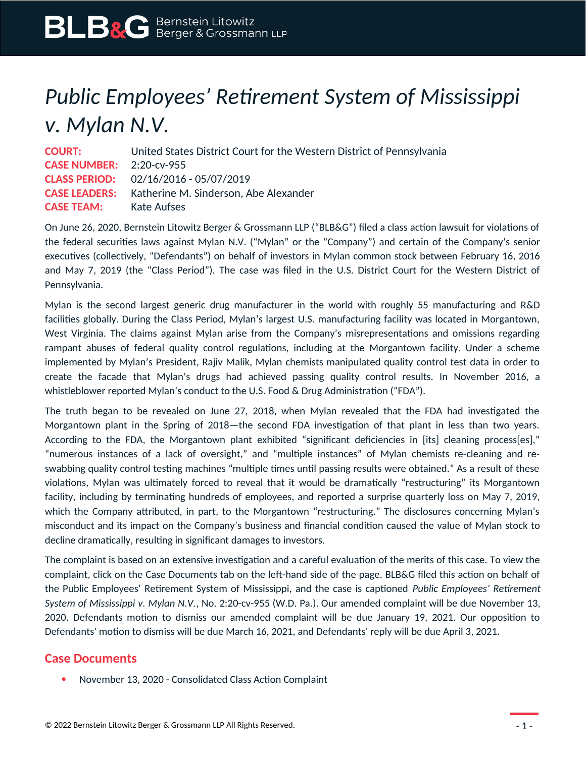## *Public Employees' Retirement System of Mississippi v. Mylan N.V.*

| <b>COURT:</b>                   | United States District Court for the Western District of Pennsylvania |
|---------------------------------|-----------------------------------------------------------------------|
| <b>CASE NUMBER:</b> 2:20-cv-955 |                                                                       |
|                                 | <b>CLASS PERIOD:</b> 02/16/2016 - 05/07/2019                          |
|                                 | <b>CASE LEADERS:</b> Katherine M. Sinderson, Abe Alexander            |
| <b>CASE TEAM:</b> Kate Aufses   |                                                                       |

On June 26, 2020, Bernstein Litowitz Berger & Grossmann LLP ("BLB&G") filed a class action lawsuit for violations of the federal securities laws against Mylan N.V. ("Mylan" or the "Company") and certain of the Company's senior executives (collectively, "Defendants") on behalf of investors in Mylan common stock between February 16, 2016 and May 7, 2019 (the "Class Period"). The case was filed in the U.S. District Court for the Western District of Pennsylvania.

Mylan is the second largest generic drug manufacturer in the world with roughly 55 manufacturing and R&D facilities globally. During the Class Period, Mylan's largest U.S. manufacturing facility was located in Morgantown, West Virginia. The claims against Mylan arise from the Company's misrepresentations and omissions regarding rampant abuses of federal quality control regulations, including at the Morgantown facility. Under a scheme implemented by Mylan's President, Rajiv Malik, Mylan chemists manipulated quality control test data in order to create the facade that Mylan's drugs had achieved passing quality control results. In November 2016, a whistleblower reported Mylan's conduct to the U.S. Food & Drug Administration ("FDA").

The truth began to be revealed on June 27, 2018, when Mylan revealed that the FDA had investigated the Morgantown plant in the Spring of 2018—the second FDA investigation of that plant in less than two years. According to the FDA, the Morgantown plant exhibited "significant deficiencies in [its] cleaning process[es]," "numerous instances of a lack of oversight," and "multiple instances" of Mylan chemists re-cleaning and reswabbing quality control testing machines "multiple times until passing results were obtained." As a result of these violations, Mylan was ultimately forced to reveal that it would be dramatically "restructuring" its Morgantown facility, including by terminating hundreds of employees, and reported a surprise quarterly loss on May 7, 2019, which the Company attributed, in part, to the Morgantown "restructuring." The disclosures concerning Mylan's misconduct and its impact on the Company's business and financial condition caused the value of Mylan stock to decline dramatically, resulting in significant damages to investors.

The complaint is based on an extensive investigation and a careful evaluation of the merits of this case. To view the complaint, click on the Case Documents tab on the left-hand side of the page. BLB&G filed this action on behalf of the Public Employees' Retirement System of Mississippi, and the case is captioned *Public Employees' Retirement System of Mississippi v. Mylan N.V.*, No. 2:20-cv-955 (W.D. Pa.). Our amended complaint will be due November 13, 2020. Defendants motion to dismiss our amended complaint will be due January 19, 2021. Our opposition to Defendants' motion to dismiss will be due March 16, 2021, and Defendants' reply will be due April 3, 2021.

## **Case Documents**

November 13, 2020 - Consolidated Class Action Complaint